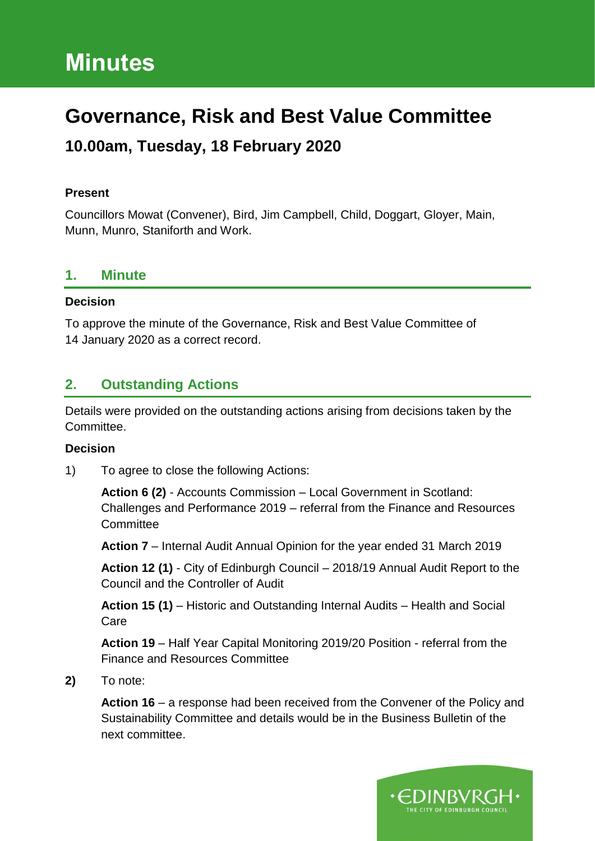# **Minutes**

## **Governance, Risk and Best Value Committee**

## **10.00am, Tuesday, 18 February 2020**

#### **Present**

Councillors Mowat (Convener), Bird, Jim Campbell, Child, Doggart, Gloyer, Main, Munn, Munro, Staniforth and Work.

## **1. Minute**

#### **Decision**

To approve the minute of the Governance, Risk and Best Value Committee of 14 January 2020 as a correct record.

## **2. Outstanding Actions**

Details were provided on the outstanding actions arising from decisions taken by the Committee.

#### **Decision**

1) To agree to close the following Actions:

**Action 6 (2)** - Accounts Commission – Local Government in Scotland: Challenges and Performance 2019 – referral from the Finance and Resources **Committee** 

**Action 7** – Internal Audit Annual Opinion for the year ended 31 March 2019

**Action 12 (1)** - City of Edinburgh Council – 2018/19 Annual Audit Report to the Council and the Controller of Audit

**Action 15 (1)** – Historic and Outstanding Internal Audits – Health and Social Care

**Action 19** – Half Year Capital Monitoring 2019/20 Position - referral from the Finance and Resources Committee

#### **2)** To note:

**Action 16** – a response had been received from the Convener of the Policy and Sustainability Committee and details would be in the Business Bulletin of the next committee.

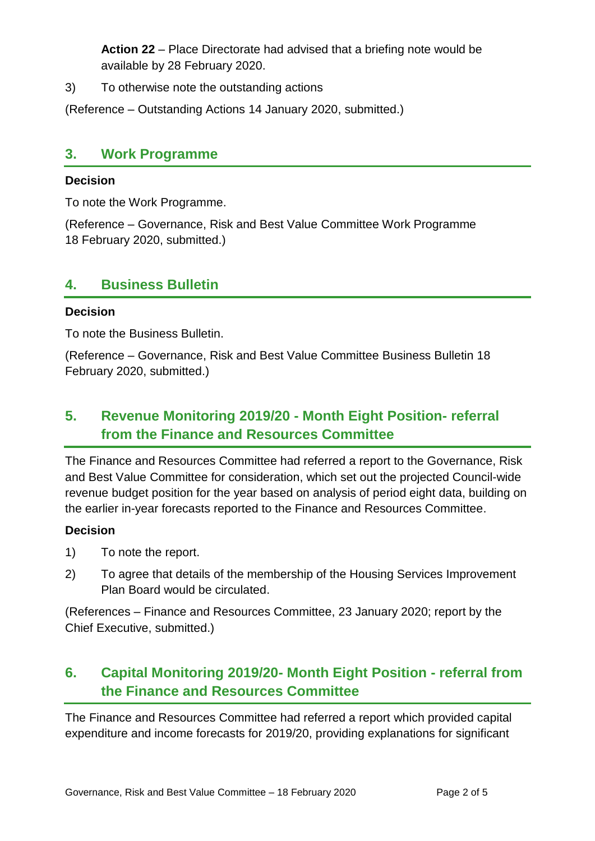**Action 22** – Place Directorate had advised that a briefing note would be available by 28 February 2020.

3) To otherwise note the outstanding actions

(Reference – Outstanding Actions 14 January 2020, submitted.)

#### **3. Work Programme**

#### **Decision**

To note the Work Programme.

(Reference – Governance, Risk and Best Value Committee Work Programme 18 February 2020, submitted.)

## **4. Business Bulletin**

#### **Decision**

To note the Business Bulletin.

(Reference – Governance, Risk and Best Value Committee Business Bulletin 18 February 2020, submitted.)

## **5. Revenue Monitoring 2019/20 - Month Eight Position- referral from the Finance and Resources Committee**

The Finance and Resources Committee had referred a report to the Governance, Risk and Best Value Committee for consideration, which set out the projected Council-wide revenue budget position for the year based on analysis of period eight data, building on the earlier in-year forecasts reported to the Finance and Resources Committee.

#### **Decision**

- 1) To note the report.
- 2) To agree that details of the membership of the Housing Services Improvement Plan Board would be circulated.

(References – Finance and Resources Committee, 23 January 2020; report by the Chief Executive, submitted.)

## **6. Capital Monitoring 2019/20- Month Eight Position - referral from the Finance and Resources Committee**

The Finance and Resources Committee had referred a report which provided capital expenditure and income forecasts for 2019/20, providing explanations for significant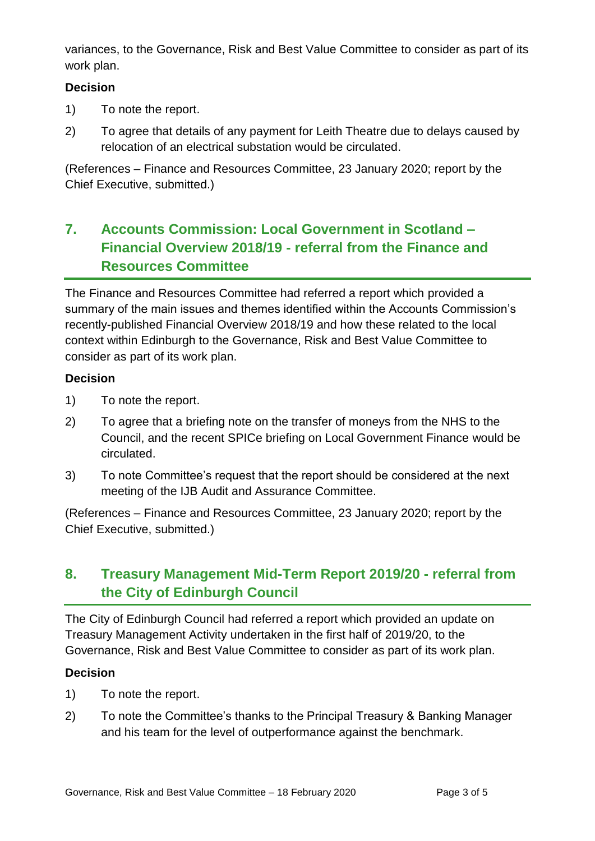variances, to the Governance, Risk and Best Value Committee to consider as part of its work plan.

#### **Decision**

- 1) To note the report.
- 2) To agree that details of any payment for Leith Theatre due to delays caused by relocation of an electrical substation would be circulated.

(References – Finance and Resources Committee, 23 January 2020; report by the Chief Executive, submitted.)

## **7. Accounts Commission: Local Government in Scotland – Financial Overview 2018/19 - referral from the Finance and Resources Committee**

The Finance and Resources Committee had referred a report which provided a summary of the main issues and themes identified within the Accounts Commission's recently-published Financial Overview 2018/19 and how these related to the local context within Edinburgh to the Governance, Risk and Best Value Committee to consider as part of its work plan.

#### **Decision**

- 1) To note the report.
- 2) To agree that a briefing note on the transfer of moneys from the NHS to the Council, and the recent SPICe briefing on Local Government Finance would be circulated.
- 3) To note Committee's request that the report should be considered at the next meeting of the IJB Audit and Assurance Committee.

(References – Finance and Resources Committee, 23 January 2020; report by the Chief Executive, submitted.)

## **8. Treasury Management Mid-Term Report 2019/20 - referral from the City of Edinburgh Council**

The City of Edinburgh Council had referred a report which provided an update on Treasury Management Activity undertaken in the first half of 2019/20, to the Governance, Risk and Best Value Committee to consider as part of its work plan.

#### **Decision**

- 1) To note the report.
- 2) To note the Committee's thanks to the Principal Treasury & Banking Manager and his team for the level of outperformance against the benchmark.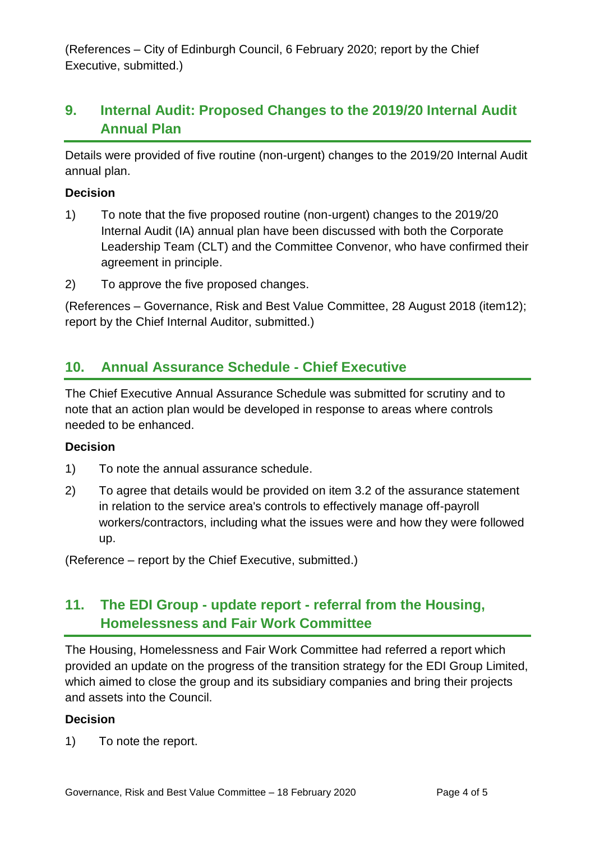(References – City of Edinburgh Council, 6 February 2020; report by the Chief Executive, submitted.)

## **9. Internal Audit: Proposed Changes to the 2019/20 Internal Audit Annual Plan**

Details were provided of five routine (non-urgent) changes to the 2019/20 Internal Audit annual plan.

#### **Decision**

- 1) To note that the five proposed routine (non-urgent) changes to the 2019/20 Internal Audit (IA) annual plan have been discussed with both the Corporate Leadership Team (CLT) and the Committee Convenor, who have confirmed their agreement in principle.
- 2) To approve the five proposed changes.

(References – Governance, Risk and Best Value Committee, 28 August 2018 (item12); report by the Chief Internal Auditor, submitted.)

## **10. Annual Assurance Schedule - Chief Executive**

The Chief Executive Annual Assurance Schedule was submitted for scrutiny and to note that an action plan would be developed in response to areas where controls needed to be enhanced.

#### **Decision**

- 1) To note the annual assurance schedule.
- 2) To agree that details would be provided on item 3.2 of the assurance statement in relation to the service area's controls to effectively manage off-payroll workers/contractors, including what the issues were and how they were followed up.

(Reference – report by the Chief Executive, submitted.)

## **11. The EDI Group - update report - referral from the Housing, Homelessness and Fair Work Committee**

The Housing, Homelessness and Fair Work Committee had referred a report which provided an update on the progress of the transition strategy for the EDI Group Limited, which aimed to close the group and its subsidiary companies and bring their projects and assets into the Council.

#### **Decision**

1) To note the report.